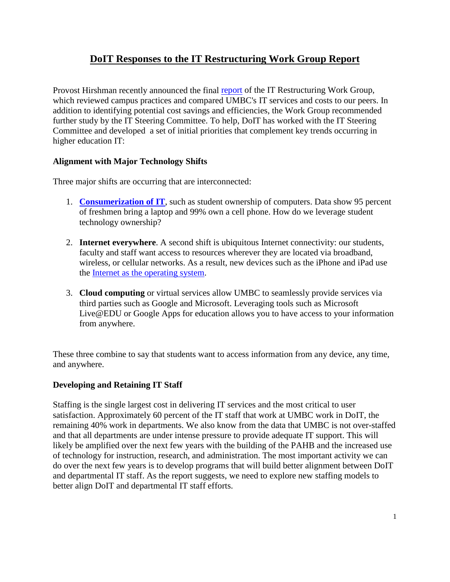# **DoIT Responses to the IT Restructuring Work Group Report**

Provost Hirshman recently announced the final [report](http://www.umbc.edu/provost/planning/ReportoftheITRestructuringWorkGroupFinal352010.pdf) of the IT Restructuring Work Group, which reviewed campus practices and compared UMBC's IT services and costs to our peers. In addition to identifying potential cost savings and efficiencies, the Work Group recommended further study by the IT Steering Committee. To help, DoIT has worked with the IT Steering Committee and developed a set of initial priorities that complement key trends occurring in higher education IT:

#### **Alignment with Major Technology Shifts**

Three major shifts are occurring that are interconnected:

- 1. **[Consumerization of IT](http://www.gartner.com/press_releases/asset_138285_11.html)**, such as student ownership of computers. Data show 95 percent of freshmen bring a laptop and 99% own a cell phone. How do we leverage student technology ownership?
- 2. **Internet everywhere**. A second shift is ubiquitous Internet connectivity: our students, faculty and staff want access to resources wherever they are located via broadband, wireless, or cellular networks. As a result, new devices such as the iPhone and iPad use the [Internet as the operating system.](http://gigaom.com/2010/04/02/is-there-an-internet-operating-system/)
- 3. **Cloud computing** or virtual services allow UMBC to seamlessly provide services via third parties such as Google and Microsoft. Leveraging tools such as Microsoft Live@EDU or Google Apps for education allows you to have access to your information from anywhere.

These three combine to say that students want to access information from any device, any time, and anywhere.

#### **Developing and Retaining IT Staff**

Staffing is the single largest cost in delivering IT services and the most critical to user satisfaction. Approximately 60 percent of the IT staff that work at UMBC work in DoIT, the remaining 40% work in departments. We also know from the data that UMBC is not over-staffed and that all departments are under intense pressure to provide adequate IT support. This will likely be amplified over the next few years with the building of the PAHB and the increased use of technology for instruction, research, and administration. The most important activity we can do over the next few years is to develop programs that will build better alignment between DoIT and departmental IT staff. As the report suggests, we need to explore new staffing models to better align DoIT and departmental IT staff efforts.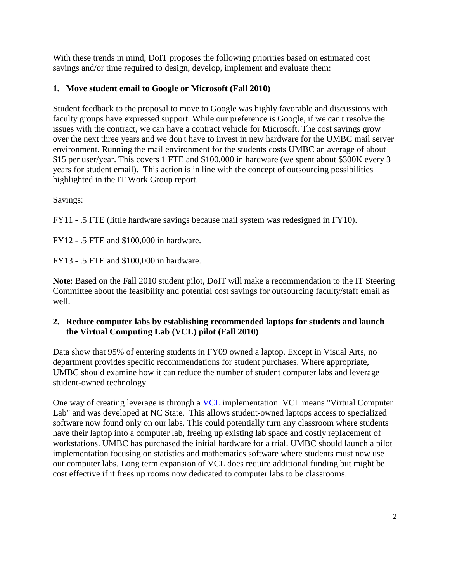With these trends in mind, DoIT proposes the following priorities based on estimated cost savings and/or time required to design, develop, implement and evaluate them:

## **1. Move student email to Google or Microsoft (Fall 2010)**

Student feedback to the proposal to move to Google was highly favorable and discussions with faculty groups have expressed support. While our preference is Google, if we can't resolve the issues with the contract, we can have a contract vehicle for Microsoft. The cost savings grow over the next three years and we don't have to invest in new hardware for the UMBC mail server environment. Running the mail environment for the students costs UMBC an average of about \$15 per user/year. This covers 1 FTE and \$100,000 in hardware (we spent about \$300K every 3 years for student email). This action is in line with the concept of outsourcing possibilities highlighted in the IT Work Group report.

Savings:

FY11 - .5 FTE (little hardware savings because mail system was redesigned in FY10).

FY12 - .5 FTE and \$100,000 in hardware.

FY13 - .5 FTE and \$100,000 in hardware.

**Note**: Based on the Fall 2010 student pilot, DoIT will make a recommendation to the IT Steering Committee about the feasibility and potential cost savings for outsourcing faculty/staff email as well.

## **2. Reduce computer labs by establishing recommended laptops for students and launch the Virtual Computing Lab (VCL) pilot (Fall 2010)**

Data show that 95% of entering students in FY09 owned a laptop. Except in Visual Arts, no department provides specific recommendations for student purchases. Where appropriate, UMBC should examine how it can reduce the number of student computer labs and leverage student-owned technology.

One way of creating leverage is through a **[VCL](http://vcl.ncsu.edu/)** implementation. VCL means "Virtual Computer Lab" and was developed at NC State. This allows student-owned laptops access to specialized software now found only on our labs. This could potentially turn any classroom where students have their laptop into a computer lab, freeing up existing lab space and costly replacement of workstations. UMBC has purchased the initial hardware for a trial. UMBC should launch a pilot implementation focusing on statistics and mathematics software where students must now use our computer labs. Long term expansion of VCL does require additional funding but might be cost effective if it frees up rooms now dedicated to computer labs to be classrooms.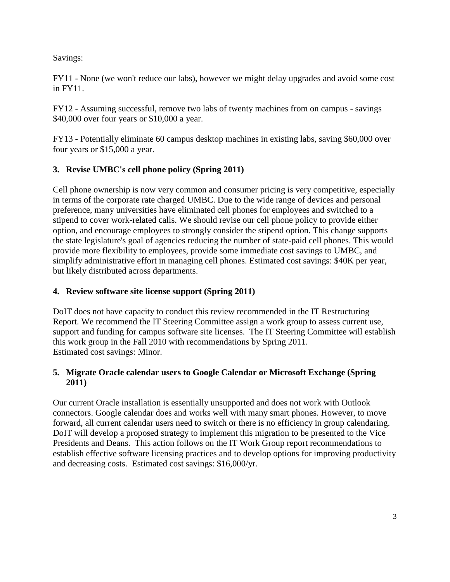Savings:

FY11 - None (we won't reduce our labs), however we might delay upgrades and avoid some cost in FY11.

FY12 - Assuming successful, remove two labs of twenty machines from on campus - savings \$40,000 over four years or \$10,000 a year.

FY13 - Potentially eliminate 60 campus desktop machines in existing labs, saving \$60,000 over four years or \$15,000 a year.

## **3. Revise UMBC's cell phone policy (Spring 2011)**

Cell phone ownership is now very common and consumer pricing is very competitive, especially in terms of the corporate rate charged UMBC. Due to the wide range of devices and personal preference, many universities have eliminated cell phones for employees and switched to a stipend to cover work-related calls. We should revise our cell phone policy to provide either option, and encourage employees to strongly consider the stipend option. This change supports the state legislature's goal of agencies reducing the number of state-paid cell phones. This would provide more flexibility to employees, provide some immediate cost savings to UMBC, and simplify administrative effort in managing cell phones. Estimated cost savings: \$40K per year, but likely distributed across departments.

### **4. Review software site license support (Spring 2011)**

DoIT does not have capacity to conduct this review recommended in the IT Restructuring Report. We recommend the IT Steering Committee assign a work group to assess current use, support and funding for campus software site licenses. The IT Steering Committee will establish this work group in the Fall 2010 with recommendations by Spring 2011. Estimated cost savings: Minor.

## **5. Migrate Oracle calendar users to Google Calendar or Microsoft Exchange (Spring 2011)**

Our current Oracle installation is essentially unsupported and does not work with Outlook connectors. Google calendar does and works well with many smart phones. However, to move forward, all current calendar users need to switch or there is no efficiency in group calendaring. DoIT will develop a proposed strategy to implement this migration to be presented to the Vice Presidents and Deans. This action follows on the IT Work Group report recommendations to establish effective software licensing practices and to develop options for improving productivity and decreasing costs. Estimated cost savings: \$16,000/yr.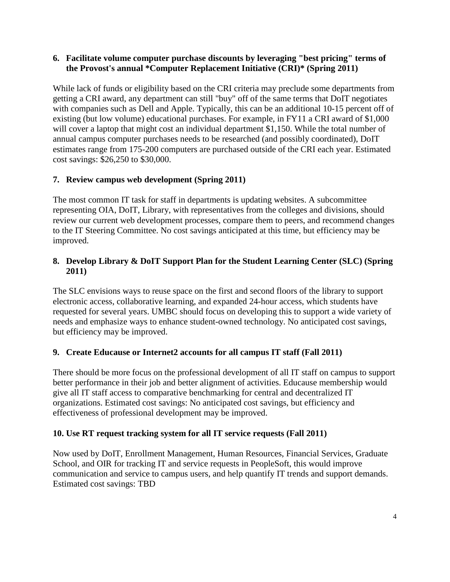#### **6. Facilitate volume computer purchase discounts by leveraging "best pricing" terms of the Provost's annual \*Computer Replacement Initiative (CRI)\* (Spring 2011)**

While lack of funds or eligibility based on the CRI criteria may preclude some departments from getting a CRI award, any department can still "buy" off of the same terms that DoIT negotiates with companies such as Dell and Apple. Typically, this can be an additional 10-15 percent off of existing (but low volume) educational purchases. For example, in FY11 a CRI award of \$1,000 will cover a laptop that might cost an individual department \$1,150. While the total number of annual campus computer purchases needs to be researched (and possibly coordinated), DoIT estimates range from 175-200 computers are purchased outside of the CRI each year. Estimated cost savings: \$26,250 to \$30,000.

## **7. Review campus web development (Spring 2011)**

The most common IT task for staff in departments is updating websites. A subcommittee representing OIA, DoIT, Library, with representatives from the colleges and divisions, should review our current web development processes, compare them to peers, and recommend changes to the IT Steering Committee. No cost savings anticipated at this time, but efficiency may be improved.

### **8. Develop Library & DoIT Support Plan for the Student Learning Center (SLC) (Spring 2011)**

The SLC envisions ways to reuse space on the first and second floors of the library to support electronic access, collaborative learning, and expanded 24-hour access, which students have requested for several years. UMBC should focus on developing this to support a wide variety of needs and emphasize ways to enhance student-owned technology. No anticipated cost savings, but efficiency may be improved.

### **9. Create Educause or Internet2 accounts for all campus IT staff (Fall 2011)**

There should be more focus on the professional development of all IT staff on campus to support better performance in their job and better alignment of activities. Educause membership would give all IT staff access to comparative benchmarking for central and decentralized IT organizations. Estimated cost savings: No anticipated cost savings, but efficiency and effectiveness of professional development may be improved.

### **10. Use RT request tracking system for all IT service requests (Fall 2011)**

Now used by DoIT, Enrollment Management, Human Resources, Financial Services, Graduate School, and OIR for tracking IT and service requests in PeopleSoft, this would improve communication and service to campus users, and help quantify IT trends and support demands. Estimated cost savings: TBD